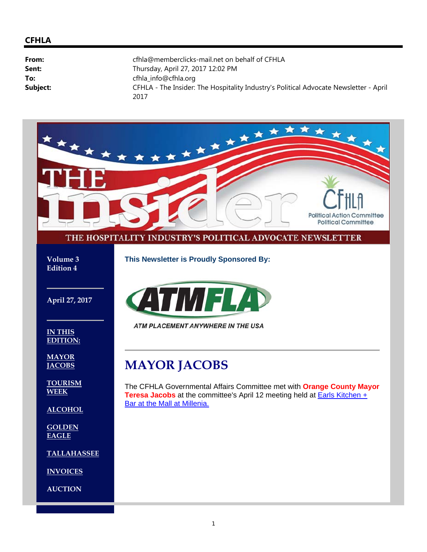#### **CFHLA**

| From:    | cfhla@memberclicks-mail.net on behalf of CFHLA                                                |
|----------|-----------------------------------------------------------------------------------------------|
| Sent:    | Thursday, April 27, 2017 12:02 PM                                                             |
| To:      | cfhla_info@cfhla.org                                                                          |
| Subject: | CFHLA - The Insider: The Hospitality Industry's Political Advocate Newsletter - April<br>2017 |

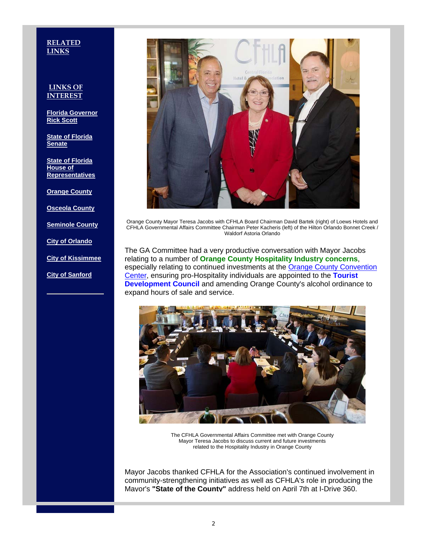#### **RELATED LINKS**

#### **LINKS OF INTEREST**

**Florida Governor Rick Scott**

**State of Florida Senate**

**State of Florida House of Representatives**

**Orange County**

**Osceola County**

**Seminole County**

**City of Orlando**

**City of Kissimmee**

**City of Sanford**



Orange County Mayor Teresa Jacobs with CFHLA Board Chairman David Bartek (right) of Loews Hotels and CFHLA Governmental Affairs Committee Chairman Peter Kacheris (left) of the Hilton Orlando Bonnet Creek / Waldorf Astoria Orlando

The GA Committee had a very productive conversation with Mayor Jacobs relating to a number of **Orange County Hospitality Industry concerns**, especially relating to continued investments at the **Orange County Convention** Center, ensuring pro-Hospitality individuals are appointed to the **Tourist Development Council** and amending Orange County's alcohol ordinance to expand hours of sale and service.



The CFHLA Governmental Affairs Committee met with Orange County Mayor Teresa Jacobs to discuss current and future investments related to the Hospitality Industry in Orange County

Mayor Jacobs thanked CFHLA for the Association's continued involvement in community-strengthening initiatives as well as CFHLA's role in producing the Mayor's **"State of the County"** address held on April 7th at I-Drive 360.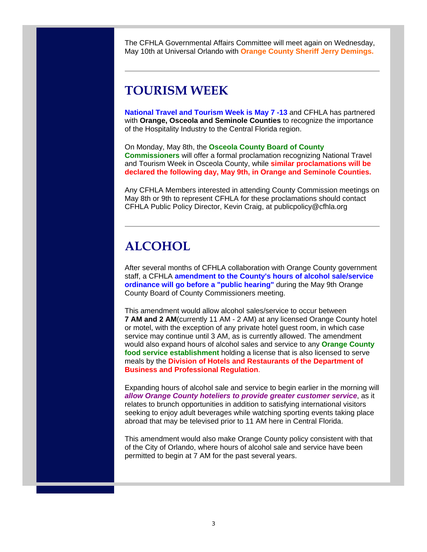The CFHLA Governmental Affairs Committee will meet again on Wednesday, May 10th at Universal Orlando with **Orange County Sheriff Jerry Demings.**

#### **TOURISM WEEK**

**National Travel and Tourism Week is May 7 -13** and CFHLA has partnered with **Orange, Osceola and Seminole Counties** to recognize the importance of the Hospitality Industry to the Central Florida region.

On Monday, May 8th, the **Osceola County Board of County Commissioners** will offer a formal proclamation recognizing National Travel and Tourism Week in Osceola County, while **similar proclamations will be declared the following day, May 9th, in Orange and Seminole Counties.**

Any CFHLA Members interested in attending County Commission meetings on May 8th or 9th to represent CFHLA for these proclamations should contact CFHLA Public Policy Director, Kevin Craig, at publicpolicy@cfhla.org

#### **ALCOHOL**

After several months of CFHLA collaboration with Orange County government staff, a CFHLA **amendment to the County's hours of alcohol sale/service ordinance will go before a "public hearing"** during the May 9th Orange County Board of County Commissioners meeting.

This amendment would allow alcohol sales/service to occur between **7 AM and 2 AM**(currently 11 AM - 2 AM) at any licensed Orange County hotel or motel, with the exception of any private hotel guest room, in which case service may continue until 3 AM, as is currently allowed. The amendment would also expand hours of alcohol sales and service to any **Orange County food service establishment** holding a license that is also licensed to serve meals by the **Division of Hotels and Restaurants of the Department of Business and Professional Regulation**.

Expanding hours of alcohol sale and service to begin earlier in the morning will *allow Orange County hoteliers to provide greater customer service*, as it relates to brunch opportunities in addition to satisfying international visitors seeking to enjoy adult beverages while watching sporting events taking place abroad that may be televised prior to 11 AM here in Central Florida.

This amendment would also make Orange County policy consistent with that of the City of Orlando, where hours of alcohol sale and service have been permitted to begin at 7 AM for the past several years.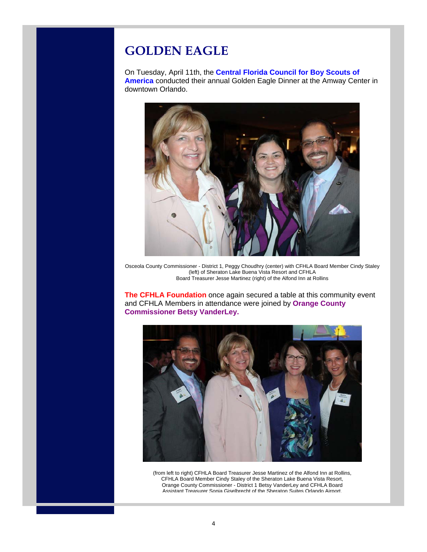## **GOLDEN EAGLE**

On Tuesday, April 11th, the **Central Florida Council for Boy Scouts of America** conducted their annual Golden Eagle Dinner at the Amway Center in downtown Orlando.



Osceola County Commissioner - District 1, Peggy Choudhry (center) with CFHLA Board Member Cindy Staley (left) of Sheraton Lake Buena Vista Resort and CFHLA Board Treasurer Jesse Martinez (right) of the Alfond Inn at Rollins

**The CFHLA Foundation** once again secured a table at this community event and CFHLA Members in attendance were joined by **Orange County Commissioner Betsy VanderLey.**



(from left to right) CFHLA Board Treasurer Jesse Martinez of the Alfond Inn at Rollins, CFHLA Board Member Cindy Staley of the Sheraton Lake Buena Vista Resort, Orange County Commissioner - District 1 Betsy VanderLey and CFHLA Board Assistant Treasurer Sonja Giselbrecht of the Sheraton Suites Orlando Airport.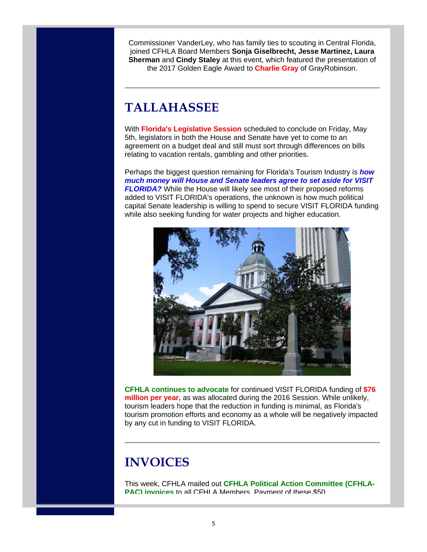Commissioner VanderLey, who has family ties to scouting in Central Florida, joined CFHLA Board Members **Sonja Giselbrecht, Jesse Martinez, Laura Sherman** and **Cindy Staley** at this event, which featured the presentation of the 2017 Golden Eagle Award to **Charlie Gray** of GrayRobinson.

## **TALLAHASSEE**

With **Florida's Legislative Session** scheduled to conclude on Friday, May 5th, legislators in both the House and Senate have yet to come to an agreement on a budget deal and still must sort through differences on bills relating to vacation rentals, gambling and other priorities.

Perhaps the biggest question remaining for Florida's Tourism Industry is *how much money will House and Senate leaders agree to set aside for VISIT FLORIDA?* While the House will likely see most of their proposed reforms added to VISIT FLORIDA's operations, the unknown is how much political capital Senate leadership is willing to spend to secure VISIT FLORIDA funding while also seeking funding for water projects and higher education.



**CFHLA continues to advocate** for continued VISIT FLORIDA funding of **\$76 million per year,** as was allocated during the 2016 Session. While unlikely, tourism leaders hope that the reduction in funding is minimal, as Florida's tourism promotion efforts and economy as a whole will be negatively impacted by any cut in funding to VISIT FLORIDA.

# **INVOICES**

This week, CFHLA mailed out **CFHLA Political Action Committee (CFHLA-PAC) invoices** to all CFHLA Members. Payment of these \$50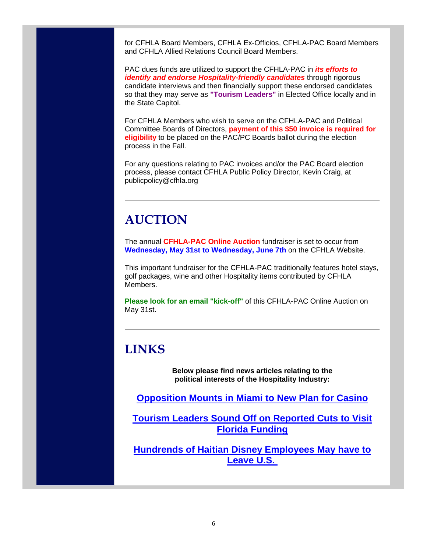for CFHLA Board Members, CFHLA Ex-Officios, CFHLA-PAC Board Members and CFHLA Allied Relations Council Board Members.

PAC dues funds are utilized to support the CFHLA-PAC in *its efforts to identify and endorse Hospitality-friendly candidates* through rigorous candidate interviews and then financially support these endorsed candidates so that they may serve as **"Tourism Leaders"** in Elected Office locally and in the State Capitol.

For CFHLA Members who wish to serve on the CFHLA-PAC and Political Committee Boards of Directors, **payment of this \$50 invoice is required for eligibility** to be placed on the PAC/PC Boards ballot during the election process in the Fall.

For any questions relating to PAC invoices and/or the PAC Board election process, please contact CFHLA Public Policy Director, Kevin Craig, at publicpolicy@cfhla.org

### **AUCTION**

The annual **CFHLA-PAC Online Auction** fundraiser is set to occur from **Wednesday, May 31st to Wednesday, June 7th** on the CFHLA Website.

This important fundraiser for the CFHLA-PAC traditionally features hotel stays, golf packages, wine and other Hospitality items contributed by CFHLA **Members** 

**Please look for an email "kick-off"** of this CFHLA-PAC Online Auction on May 31st.

## **LINKS**

**Below please find news articles relating to the political interests of the Hospitality Industry:**

**Opposition Mounts in Miami to New Plan for Casino**

**Tourism Leaders Sound Off on Reported Cuts to Visit Florida Funding**

**Hundrends of Haitian Disney Employees May have to Leave U.S.**